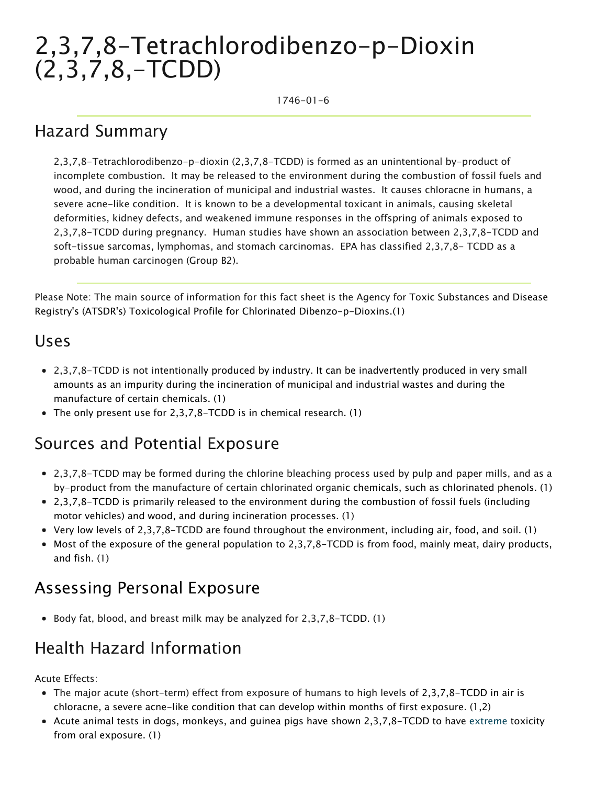# 2,3,7,8-Tetrachlorodibenzo-p-Dioxin (2,3,7,8,-TCDD)

1746-01-6

#### Hazard Summary

2,3,7,8-Tetrachlorodibenzo-p-dioxin (2,3,7,8-TCDD) is formed as an unintentional by-product of incomplete combustion. It may be released to the environment during the combustion of fossil fuels and wood, and during the incineration of municipal and industrial wastes. It causes chloracne in humans, a severe acne-like condition. It is known to be a developmental toxicant in animals, causing skeletal deformities, kidney defects, and weakened immune responses in the offspring of animals exposed to 2,3,7,8-TCDD during pregnancy. Human studies have shown an association between 2,3,7,8-TCDD and soft-tissue sarcomas, lymphomas, and stomach carcinomas. EPA has classified 2,3,7,8- TCDD as a probable human carcinogen (Group B2).

Please Note: The main source of information for this fact sheet is the Agency for Toxic Substances and Disease Registry's (ATSDR's) Toxicological Profile for Chlorinated Dibenzo-p-Dioxins.(1)

#### Uses

- 2,3,7,8-TCDD is not intentionally produced by industry. It can be inadvertently produced in very small amounts as an impurity during the incineration of municipal and industrial wastes and during the manufacture of certain chemicals. (1)
- The only present use for 2,3,7,8-TCDD is in chemical research. (1)

#### Sources and Potential Exposure

- 2,3,7,8-TCDD may be formed during the chlorine bleaching process used by pulp and paper mills, and as a by-product from the manufacture of certain chlorinated organic chemicals, such as chlorinated phenols. (1)
- 2,3,7,8-TCDD is primarily released to the environment during the combustion of fossil fuels (including motor vehicles) and wood, and during incineration processes. (1)
- Very low levels of 2,3,7,8-TCDD are found throughout the environment, including air, food, and soil. (1)
- Most of the exposure of the general population to 2,3,7,8-TCDD is from food, mainly meat, dairy products, and fish. (1)

### Assessing Personal Exposure

Body fat, blood, and breast milk may be analyzed for 2,3,7,8-TCDD. (1)

### Health Hazard Information

Acute Effects:

- The major acute (short-term) effect from exposure of humans to high levels of 2,3,7,8-TCDD in air is chloracne, a severe acne-like condition that can develop within months of first exposure. (1,2)
- Acute animal tests in dogs, monkeys, and guinea pigs have shown 2,3,7,8-TCDD to have [extreme](https://www.epa.gov/haps/about-health-effects-fact-sheets) toxicity from oral exposure. (1)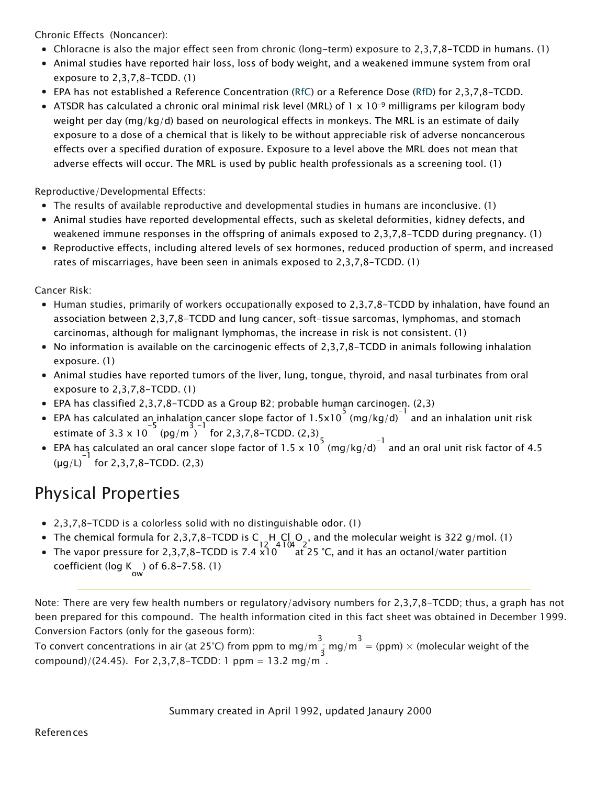Chronic Effects (Noncancer):

- Chloracne is also the major effect seen from chronic (long-term) exposure to 2,3,7,8-TCDD in humans. (1)
- Animal studies have reported hair loss, loss of body weight, and a weakened immune system from oral exposure to 2,3,7,8-TCDD. (1)
- EPA has not established a Reference Concentration ([RfC\)](https://www.epa.gov/haps/health-effects-notebook-glossary) or a Reference Dose ([RfD](https://www.epa.gov/haps/health-effects-notebook-glossary)) for 2,3,7,8-TCDD.
- ATSDR has calculated a chronic oral minimal risk level (MRL) of 1 x 10<sup>-9</sup> milligrams per kilogram body weight per day (mg/kg/d) based on neurological effects in monkeys. The MRL is an estimate of daily exposure to a dose of a chemical that is likely to be without appreciable risk of adverse noncancerous effects over a specified duration of exposure. Exposure to a level above the MRL does not mean that adverse effects will occur. The MRL is used by public health professionals as a screening tool. (1)

Reproductive/Developmental Effects:

- The results of available reproductive and developmental studies in humans are inconclusive. (1)
- Animal studies have reported developmental effects, such as skeletal deformities, kidney defects, and weakened immune responses in the offspring of animals exposed to 2,3,7,8-TCDD during pregnancy. (1)
- Reproductive effects, including altered levels of sex hormones, reduced production of sperm, and increased rates of miscarriages, have been seen in animals exposed to 2,3,7,8-TCDD. (1)

Cancer Risk:

- Human studies, primarily of workers occupationally exposed to 2,3,7,8-TCDD by inhalation, have found an association between 2,3,7,8-TCDD and lung cancer, soft-tissue sarcomas, lymphomas, and stomach carcinomas, although for malignant lymphomas, the increase in risk is not consistent. (1)
- No information is available on the carcinogenic effects of 2,3,7,8-TCDD in animals following inhalation exposure. (1)
- Animal studies have reported tumors of the liver, lung, tongue, thyroid, and nasal turbinates from oral exposure to 2,3,7,8-TCDD. (1)
- EPA has classified 2,3,7,8-TCDD as a Group B2; probable human carcinogen. (2,3)
- EPA has calculated an inhalation cancer slope factor of 1.5x10  $\binom{5}{10}$  (mg/kg/d)  $\binom{1}{1}$  and an inhalation unit risk estimate of 3.3 x 10<sup>-5</sup> (pg/m<sup>3-1</sup> for 2,3,7,8-TCDD. (2,3)
- EPA has calculated an oral cancer slope factor of 1.5 x 10  $^{5}$  (mg/kg/d)  $^{-1}$  and an oral unit risk factor of 4.5  $(\mu g/L)^{-1}$  for 2,3,7,8-TCDD. (2,3)

## Physical Properties

- 2,3,7,8-TCDD is a colorless solid with no distinguishable odor. (1)
- The chemical formula for 2,3,7,8-TCDD is C 12 H 4 Cl 4 O 2 , and the molecular weight is 322 g/mol. (1)
- The vapor pressure for 2,3,7,8–TCDD is 7.4 x10 at 25 °C, and it has an octanol/water partition coefficient (log K) of 6.8–7.58. (1)

Note: There are very few health numbers or regulatory/advisory numbers for 2,3,7,8-TCDD; thus, a graph has not been prepared for this compound. The health information cited in this fact sheet was obtained in December 1999. Conversion Factors (only for the gaseous form):

To convert concentrations in air (at 25°C) from ppm to mg/m<sup>3</sup> = (ppm) × (molecular weight of the compound)/(24.45). For 2,3,7,8-TCDD: 1 ppm = 13.2 mg/m .